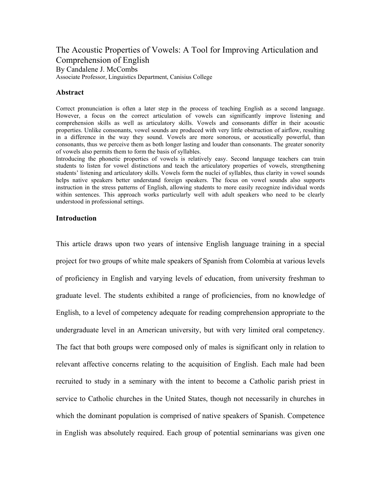The Acoustic Properties of Vowels: A Tool for Improving Articulation and Comprehension of English By Candalene J. McCombs Associate Professor, Linguistics Department, Canisius College

## **Abstract**

Correct pronunciation is often a later step in the process of teaching English as a second language. However, a focus on the correct articulation of vowels can significantly improve listening and comprehension skills as well as articulatory skills. Vowels and consonants differ in their acoustic properties. Unlike consonants, vowel sounds are produced with very little obstruction of airflow, resulting in a difference in the way they sound. Vowels are more sonorous, or acoustically powerful, than consonants, thus we perceive them as both longer lasting and louder than consonants. The greater sonority of vowels also permits them to form the basis of syllables.

Introducing the phonetic properties of vowels is relatively easy. Second language teachers can train students to listen for vowel distinctions and teach the articulatory properties of vowels, strengthening students' listening and articulatory skills. Vowels form the nuclei of syllables, thus clarity in vowel sounds helps native speakers better understand foreign speakers. The focus on vowel sounds also supports instruction in the stress patterns of English, allowing students to more easily recognize individual words within sentences. This approach works particularly well with adult speakers who need to be clearly understood in professional settings.

## **Introduction**

This article draws upon two years of intensive English language training in a special project for two groups of white male speakers of Spanish from Colombia at various levels of proficiency in English and varying levels of education, from university freshman to graduate level. The students exhibited a range of proficiencies, from no knowledge of English, to a level of competency adequate for reading comprehension appropriate to the undergraduate level in an American university, but with very limited oral competency. The fact that both groups were composed only of males is significant only in relation to relevant affective concerns relating to the acquisition of English. Each male had been recruited to study in a seminary with the intent to become a Catholic parish priest in service to Catholic churches in the United States, though not necessarily in churches in which the dominant population is comprised of native speakers of Spanish. Competence in English was absolutely required. Each group of potential seminarians was given one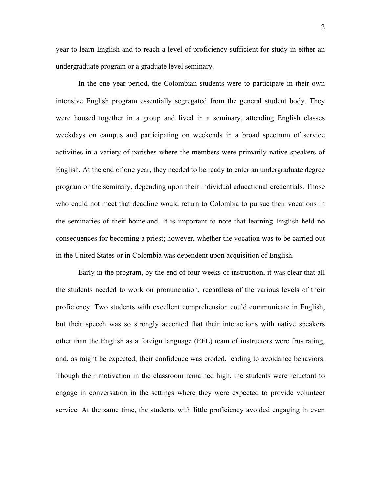year to learn English and to reach a level of proficiency sufficient for study in either an undergraduate program or a graduate level seminary.

In the one year period, the Colombian students were to participate in their own intensive English program essentially segregated from the general student body. They were housed together in a group and lived in a seminary, attending English classes weekdays on campus and participating on weekends in a broad spectrum of service activities in a variety of parishes where the members were primarily native speakers of English. At the end of one year, they needed to be ready to enter an undergraduate degree program or the seminary, depending upon their individual educational credentials. Those who could not meet that deadline would return to Colombia to pursue their vocations in the seminaries of their homeland. It is important to note that learning English held no consequences for becoming a priest; however, whether the vocation was to be carried out in the United States or in Colombia was dependent upon acquisition of English.

 Early in the program, by the end of four weeks of instruction, it was clear that all the students needed to work on pronunciation, regardless of the various levels of their proficiency. Two students with excellent comprehension could communicate in English, but their speech was so strongly accented that their interactions with native speakers other than the English as a foreign language (EFL) team of instructors were frustrating, and, as might be expected, their confidence was eroded, leading to avoidance behaviors. Though their motivation in the classroom remained high, the students were reluctant to engage in conversation in the settings where they were expected to provide volunteer service. At the same time, the students with little proficiency avoided engaging in even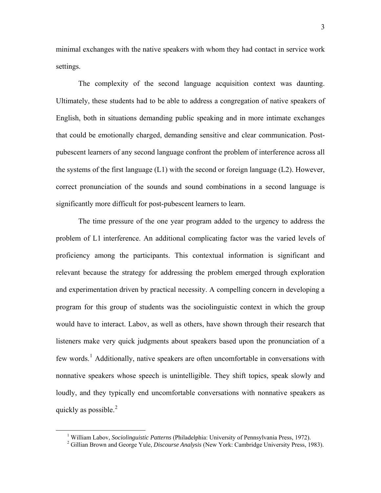minimal exchanges with the native speakers with whom they had contact in service work settings.

The complexity of the second language acquisition context was daunting. Ultimately, these students had to be able to address a congregation of native speakers of English, both in situations demanding public speaking and in more intimate exchanges that could be emotionally charged, demanding sensitive and clear communication. Postpubescent learners of any second language confront the problem of interference across all the systems of the first language (L1) with the second or foreign language (L2). However, correct pronunciation of the sounds and sound combinations in a second language is significantly more difficult for post-pubescent learners to learn.

The time pressure of the one year program added to the urgency to address the problem of L1 interference. An additional complicating factor was the varied levels of proficiency among the participants. This contextual information is significant and relevant because the strategy for addressing the problem emerged through exploration and experimentation driven by practical necessity. A compelling concern in developing a program for this group of students was the sociolinguistic context in which the group would have to interact. Labov, as well as others, have shown through their research that listeners make very quick judgments about speakers based upon the pronunciation of a few words.<sup>[1](#page-2-0)</sup> Additionally, native speakers are often uncomfortable in conversations with nonnative speakers whose speech is unintelligible. They shift topics, speak slowly and loudly, and they typically end uncomfortable conversations with nonnative speakers as quickly as possible. $^{2}$  $^{2}$  $^{2}$ 

<span id="page-2-1"></span><span id="page-2-0"></span> <sup>1</sup> <sup>1</sup> William Labov, *Sociolinguistic Patterns* (Philadelphia: University of Pennsylvania Press, 1972).

Gillian Brown and George Yule, *Discourse Analysis* (New York: Cambridge University Press, 1983).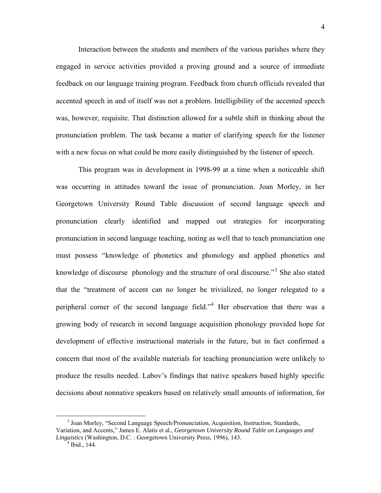Interaction between the students and members of the various parishes where they engaged in service activities provided a proving ground and a source of immediate feedback on our language training program. Feedback from church officials revealed that accented speech in and of itself was not a problem. Intelligibility of the accented speech was, however, requisite. That distinction allowed for a subtle shift in thinking about the pronunciation problem. The task became a matter of clarifying speech for the listener with a new focus on what could be more easily distinguished by the listener of speech.

This program was in development in 1998-99 at a time when a noticeable shift was occurring in attitudes toward the issue of pronunciation. Joan Morley, in her Georgetown University Round Table discussion of second language speech and pronunciation clearly identified and mapped out strategies for incorporating pronunciation in second language teaching, noting as well that to teach pronunciation one must possess "knowledge of phonetics and phonology and applied phonetics and knowledge of discourse phonology and the structure of oral discourse."<sup>[3](#page-3-0)</sup> She also stated that the "treatment of accent can no longer be trivialized, no longer relegated to a peripheral corner of the second language field."<sup>[4](#page-3-1)</sup> Her observation that there was a growing body of research in second language acquisition phonology provided hope for development of effective instructional materials in the future, but in fact confirmed a concern that most of the available materials for teaching pronunciation were unlikely to produce the results needed. Labov's findings that native speakers based highly specific decisions about nonnative speakers based on relatively small amounts of information, for

<span id="page-3-1"></span><span id="page-3-0"></span> <sup>3</sup> <sup>3</sup> Joan Morley, "Second Language Speech/Pronunciation, Acquisition, Instruction, Standards, Variation, and Accents," James E. Alatis et al., *Georgetown University Round Table on Languages and Linguistics* (Washington, D.C. : Georgetown University Press, 1996), 143. 4

 $4$  Ibid., 144.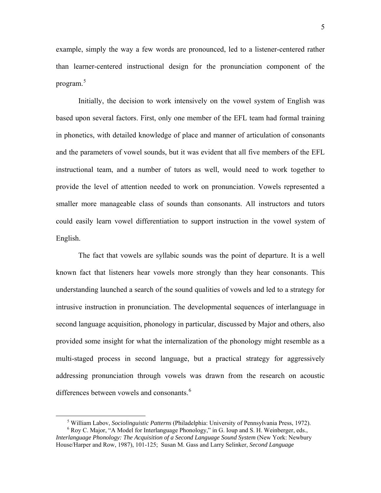example, simply the way a few words are pronounced, led to a listener-centered rather than learner-centered instructional design for the pronunciation component of the program.[5](#page-4-0)

Initially, the decision to work intensively on the vowel system of English was based upon several factors. First, only one member of the EFL team had formal training in phonetics, with detailed knowledge of place and manner of articulation of consonants and the parameters of vowel sounds, but it was evident that all five members of the EFL instructional team, and a number of tutors as well, would need to work together to provide the level of attention needed to work on pronunciation. Vowels represented a smaller more manageable class of sounds than consonants. All instructors and tutors could easily learn vowel differentiation to support instruction in the vowel system of English.

The fact that vowels are syllabic sounds was the point of departure. It is a well known fact that listeners hear vowels more strongly than they hear consonants. This understanding launched a search of the sound qualities of vowels and led to a strategy for intrusive instruction in pronunciation. The developmental sequences of interlanguage in second language acquisition, phonology in particular, discussed by Major and others, also provided some insight for what the internalization of the phonology might resemble as a multi-staged process in second language, but a practical strategy for aggressively addressing pronunciation through vowels was drawn from the research on acoustic differences between vowels and consonants.<sup>[6](#page-4-1)</sup>

 $\frac{1}{5}$ <sup>5</sup> William Labov, *Sociolinguistic Patterns* (Philadelphia: University of Pennsylvania Press, 1972).

<span id="page-4-1"></span><span id="page-4-0"></span><sup>&</sup>lt;sup>6</sup> Roy C. Major, "A Model for Interlanguage Phonology," in G. Ioup and S. H. Weinberger, eds., *Interlanguage Phonology: The Acquisition of a Second Language Sound System* (New York: Newbury House/Harper and Row, 1987), 101-125; Susan M. Gass and Larry Selinker, *Second Language*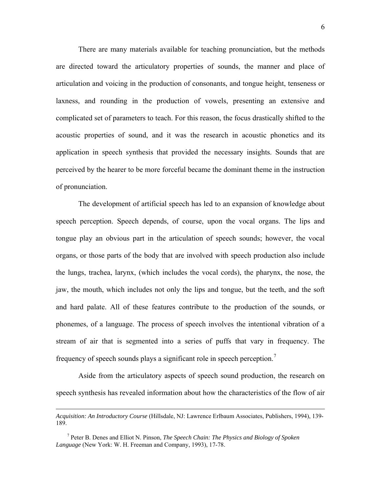There are many materials available for teaching pronunciation, but the methods are directed toward the articulatory properties of sounds, the manner and place of articulation and voicing in the production of consonants, and tongue height, tenseness or laxness, and rounding in the production of vowels, presenting an extensive and complicated set of parameters to teach. For this reason, the focus drastically shifted to the acoustic properties of sound, and it was the research in acoustic phonetics and its application in speech synthesis that provided the necessary insights. Sounds that are perceived by the hearer to be more forceful became the dominant theme in the instruction of pronunciation.

The development of artificial speech has led to an expansion of knowledge about speech perception. Speech depends, of course, upon the vocal organs. The lips and tongue play an obvious part in the articulation of speech sounds; however, the vocal organs, or those parts of the body that are involved with speech production also include the lungs, trachea, larynx, (which includes the vocal cords), the pharynx, the nose, the jaw, the mouth, which includes not only the lips and tongue, but the teeth, and the soft and hard palate. All of these features contribute to the production of the sounds, or phonemes, of a language. The process of speech involves the intentional vibration of a stream of air that is segmented into a series of puffs that vary in frequency. The frequency of speech sounds plays a significant role in speech perception.[7](#page-5-0)

Aside from the articulatory aspects of speech sound production, the research on speech synthesis has revealed information about how the characteristics of the flow of air

 $\overline{a}$ 

*Acquisition: An Introductory Course* (Hillsdale, NJ: Lawrence Erlbaum Associates, Publishers, 1994), 139- 189.

<span id="page-5-0"></span><sup>7</sup> Peter B. Denes and Elliot N. Pinson, *The Speech Chain: The Physics and Biology of Spoken Language* (New York: W. H. Freeman and Company, 1993), 17-78.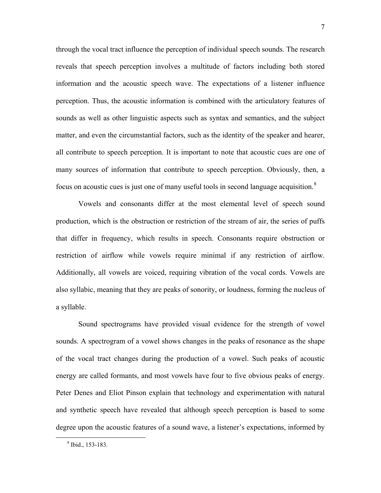through the vocal tract influence the perception of individual speech sounds. The research reveals that speech perception involves a multitude of factors including both stored information and the acoustic speech wave. The expectations of a listener influence perception. Thus, the acoustic information is combined with the articulatory features of sounds as well as other linguistic aspects such as syntax and semantics, and the subject matter, and even the circumstantial factors, such as the identity of the speaker and hearer, all contribute to speech perception. It is important to note that acoustic cues are one of many sources of information that contribute to speech perception. Obviously, then, a focus on acoustic cues is just one of many useful tools in second language acquisition.<sup>[8](#page-6-0)</sup>

Vowels and consonants differ at the most elemental level of speech sound production, which is the obstruction or restriction of the stream of air, the series of puffs that differ in frequency, which results in speech. Consonants require obstruction or restriction of airflow while vowels require minimal if any restriction of airflow. Additionally, all vowels are voiced, requiring vibration of the vocal cords. Vowels are also syllabic, meaning that they are peaks of sonority, or loudness, forming the nucleus of a syllable.

Sound spectrograms have provided visual evidence for the strength of vowel sounds. A spectrogram of a vowel shows changes in the peaks of resonance as the shape of the vocal tract changes during the production of a vowel. Such peaks of acoustic energy are called formants, and most vowels have four to five obvious peaks of energy. Peter Denes and Eliot Pinson explain that technology and experimentation with natural and synthetic speech have revealed that although speech perception is based to some degree upon the acoustic features of a sound wave, a listener's expectations, informed by

<span id="page-6-0"></span> <sup>8</sup> <sup>8</sup> Ibid., 153-183.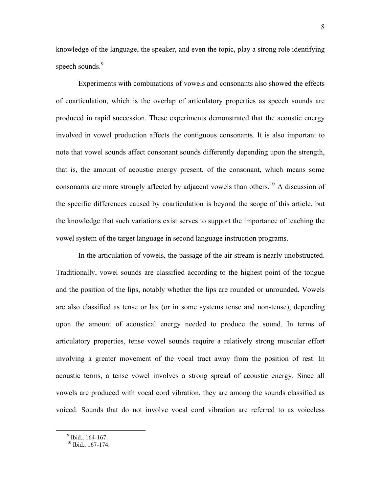knowledge of the language, the speaker, and even the topic, play a strong role identifying speech sounds.<sup>[9](#page-7-0)</sup>

Experiments with combinations of vowels and consonants also showed the effects of coarticulation, which is the overlap of articulatory properties as speech sounds are produced in rapid succession. These experiments demonstrated that the acoustic energy involved in vowel production affects the contiguous consonants. It is also important to note that vowel sounds affect consonant sounds differently depending upon the strength, that is, the amount of acoustic energy present, of the consonant, which means some consonants are more strongly affected by adjacent vowels than others.<sup>[10](#page-7-1)</sup> A discussion of the specific differences caused by coarticulation is beyond the scope of this article, but the knowledge that such variations exist serves to support the importance of teaching the vowel system of the target language in second language instruction programs.

In the articulation of vowels, the passage of the air stream is nearly unobstructed. Traditionally, vowel sounds are classified according to the highest point of the tongue and the position of the lips, notably whether the lips are rounded or unrounded. Vowels are also classified as tense or lax (or in some systems tense and non-tense), depending upon the amount of acoustical energy needed to produce the sound. In terms of articulatory properties, tense vowel sounds require a relatively strong muscular effort involving a greater movement of the vocal tract away from the position of rest. In acoustic terms, a tense vowel involves a strong spread of acoustic energy. Since all vowels are produced with vocal cord vibration, they are among the sounds classified as voiced. Sounds that do not involve vocal cord vibration are referred to as voiceless

<span id="page-7-1"></span><span id="page-7-0"></span> $9$  Ibid., 164-167.

 $10$  Ibid., 167-174.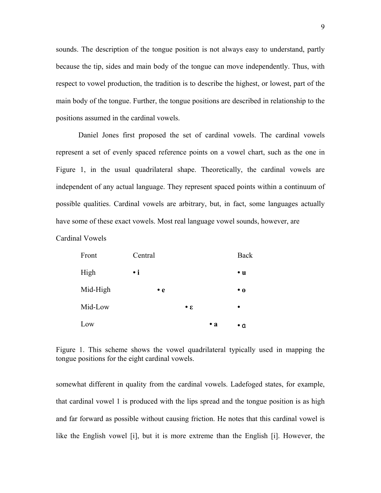sounds. The description of the tongue position is not always easy to understand, partly because the tip, sides and main body of the tongue can move independently. Thus, with respect to vowel production, the tradition is to describe the highest, or lowest, part of the main body of the tongue. Further, the tongue positions are described in relationship to the positions assumed in the cardinal vowels.

Daniel Jones first proposed the set of cardinal vowels. The cardinal vowels represent a set of evenly spaced reference points on a vowel chart, such as the one in Figure 1, in the usual quadrilateral shape. Theoretically, the cardinal vowels are independent of any actual language. They represent spaced points within a continuum of possible qualities. Cardinal vowels are arbitrary, but, in fact, some languages actually have some of these exact vowels. Most real language vowel sounds, however, are

Cardinal Vowels

| Front    | Central     |                       | Back        |
|----------|-------------|-----------------------|-------------|
| High     | $\cdot$ i   |                       | $\cdot u$   |
| Mid-High | $\bullet$ e |                       | $\bullet$ 0 |
| Mid-Low  |             | $\cdot$ $\varepsilon$ | $\bullet$   |
| Low      |             | $\cdot a$             | ۰a          |

Figure 1. This scheme shows the vowel quadrilateral typically used in mapping the tongue positions for the eight cardinal vowels.

somewhat different in quality from the cardinal vowels. Ladefoged states, for example, that cardinal vowel 1 is produced with the lips spread and the tongue position is as high and far forward as possible without causing friction. He notes that this cardinal vowel is like the English vowel [i], but it is more extreme than the English [i]. However, the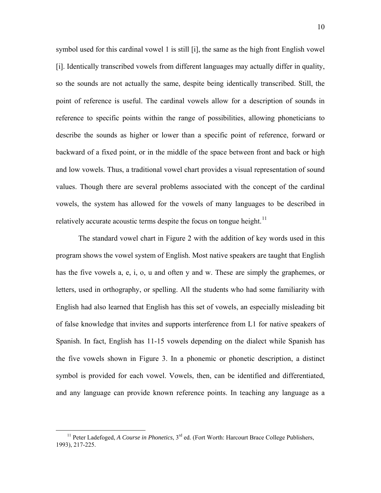symbol used for this cardinal vowel 1 is still [i], the same as the high front English vowel [i]. Identically transcribed vowels from different languages may actually differ in quality, so the sounds are not actually the same, despite being identically transcribed. Still, the point of reference is useful. The cardinal vowels allow for a description of sounds in reference to specific points within the range of possibilities, allowing phoneticians to describe the sounds as higher or lower than a specific point of reference, forward or backward of a fixed point, or in the middle of the space between front and back or high and low vowels. Thus, a traditional vowel chart provides a visual representation of sound values. Though there are several problems associated with the concept of the cardinal vowels, the system has allowed for the vowels of many languages to be described in relatively accurate acoustic terms despite the focus on tongue height.<sup>[11](#page-9-0)</sup>

The standard vowel chart in Figure 2 with the addition of key words used in this program shows the vowel system of English. Most native speakers are taught that English has the five vowels a, e, i, o, u and often y and w. These are simply the graphemes, or letters, used in orthography, or spelling. All the students who had some familiarity with English had also learned that English has this set of vowels, an especially misleading bit of false knowledge that invites and supports interference from L1 for native speakers of Spanish. In fact, English has 11-15 vowels depending on the dialect while Spanish has the five vowels shown in Figure 3. In a phonemic or phonetic description, a distinct symbol is provided for each vowel. Vowels, then, can be identified and differentiated, and any language can provide known reference points. In teaching any language as a

<span id="page-9-0"></span><sup>&</sup>lt;sup>11</sup> Peter Ladefoged, *A Course in Phonetics*, 3<sup>rd</sup> ed. (Fort Worth: Harcourt Brace College Publishers, 1993), 217-225.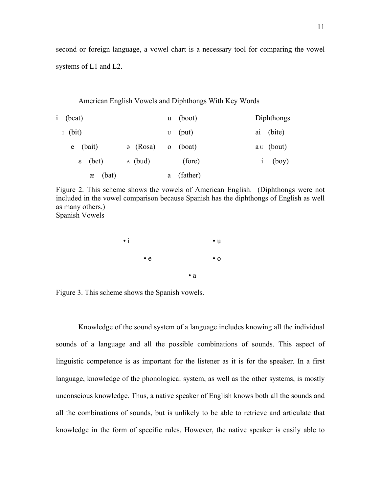second or foreign language, a vowel chart is a necessary tool for comparing the vowel systems of L1 and L2.

American English Vowels and Diphthongs With Key Words

| i (beat)          |                       | $u \quad (boot)$ |            | Diphthongs |  |             |
|-------------------|-----------------------|------------------|------------|------------|--|-------------|
| $I$ (bit)         |                       |                  | $U$ (put)  |            |  | ai (bite)   |
| $e$ (bait)        | $\mathfrak{g}$ (Rosa) |                  | $o$ (boat) |            |  | $au$ (bout) |
| $\epsilon$ (bet)  | $\Lambda$ (bud)       |                  | (fore)     |            |  | $i$ (boy)   |
| $x \text{ (bat)}$ |                       | a                | (father)   |            |  |             |

Figure 2. This scheme shows the vowels of American English. (Diphthongs were not included in the vowel comparison because Spanish has the diphthongs of English as well as many others.) Spanish Vowels



Figure 3. This scheme shows the Spanish vowels.

Knowledge of the sound system of a language includes knowing all the individual sounds of a language and all the possible combinations of sounds. This aspect of linguistic competence is as important for the listener as it is for the speaker. In a first language, knowledge of the phonological system, as well as the other systems, is mostly unconscious knowledge. Thus, a native speaker of English knows both all the sounds and all the combinations of sounds, but is unlikely to be able to retrieve and articulate that knowledge in the form of specific rules. However, the native speaker is easily able to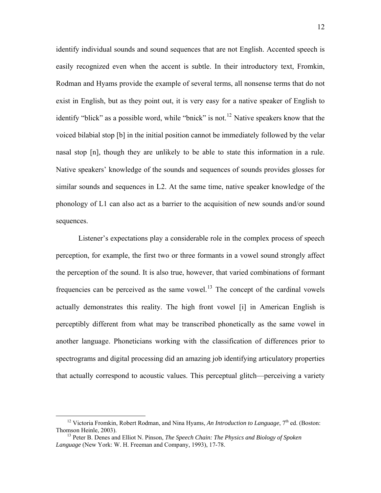identify individual sounds and sound sequences that are not English. Accented speech is easily recognized even when the accent is subtle. In their introductory text, Fromkin, Rodman and Hyams provide the example of several terms, all nonsense terms that do not exist in English, but as they point out, it is very easy for a native speaker of English to identify "blick" as a possible word, while "bnick" is not.<sup>[12](#page-11-0)</sup> Native speakers know that the voiced bilabial stop [b] in the initial position cannot be immediately followed by the velar nasal stop [n], though they are unlikely to be able to state this information in a rule. Native speakers' knowledge of the sounds and sequences of sounds provides glosses for similar sounds and sequences in L2. At the same time, native speaker knowledge of the phonology of L1 can also act as a barrier to the acquisition of new sounds and/or sound sequences.

Listener's expectations play a considerable role in the complex process of speech perception, for example, the first two or three formants in a vowel sound strongly affect the perception of the sound. It is also true, however, that varied combinations of formant frequencies can be perceived as the same vowel.<sup>[13](#page-11-1)</sup> The concept of the cardinal vowels actually demonstrates this reality. The high front vowel [i] in American English is perceptibly different from what may be transcribed phonetically as the same vowel in another language. Phoneticians working with the classification of differences prior to spectrograms and digital processing did an amazing job identifying articulatory properties that actually correspond to acoustic values. This perceptual glitch—perceiving a variety

<span id="page-11-0"></span><sup>&</sup>lt;sup>12</sup> Victoria Fromkin, Robert Rodman, and Nina Hyams, An Introduction to Language,  $7<sup>th</sup>$  ed. (Boston: Thomson Heinle, 2003). 13 Peter B. Denes and Elliot N. Pinson, *The Speech Chain: The Physics and Biology of Spoken* 

<span id="page-11-1"></span>*Language* (New York: W. H. Freeman and Company, 1993), 17-78.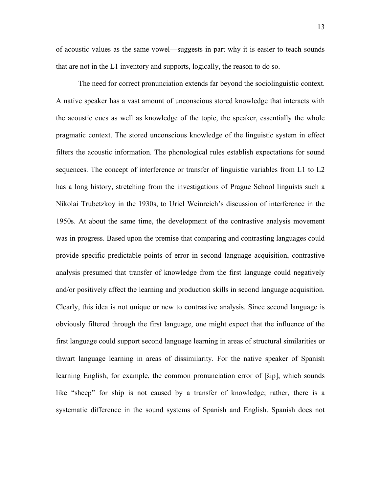of acoustic values as the same vowel—suggests in part why it is easier to teach sounds that are not in the L1 inventory and supports, logically, the reason to do so.

 The need for correct pronunciation extends far beyond the sociolinguistic context. A native speaker has a vast amount of unconscious stored knowledge that interacts with the acoustic cues as well as knowledge of the topic, the speaker, essentially the whole pragmatic context. The stored unconscious knowledge of the linguistic system in effect filters the acoustic information. The phonological rules establish expectations for sound sequences. The concept of interference or transfer of linguistic variables from L1 to L2 has a long history, stretching from the investigations of Prague School linguists such a Nikolai Trubetzkoy in the 1930s, to Uriel Weinreich's discussion of interference in the 1950s. At about the same time, the development of the contrastive analysis movement was in progress. Based upon the premise that comparing and contrasting languages could provide specific predictable points of error in second language acquisition, contrastive analysis presumed that transfer of knowledge from the first language could negatively and/or positively affect the learning and production skills in second language acquisition. Clearly, this idea is not unique or new to contrastive analysis. Since second language is obviously filtered through the first language, one might expect that the influence of the first language could support second language learning in areas of structural similarities or thwart language learning in areas of dissimilarity. For the native speaker of Spanish learning English, for example, the common pronunciation error of [šip], which sounds like "sheep" for ship is not caused by a transfer of knowledge; rather, there is a systematic difference in the sound systems of Spanish and English. Spanish does not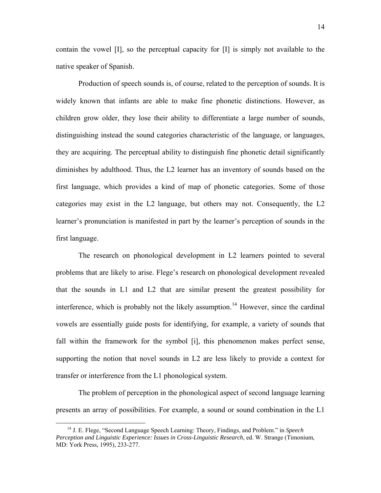contain the vowel [I], so the perceptual capacity for [I] is simply not available to the native speaker of Spanish.

Production of speech sounds is, of course, related to the perception of sounds. It is widely known that infants are able to make fine phonetic distinctions. However, as children grow older, they lose their ability to differentiate a large number of sounds, distinguishing instead the sound categories characteristic of the language, or languages, they are acquiring. The perceptual ability to distinguish fine phonetic detail significantly diminishes by adulthood. Thus, the L2 learner has an inventory of sounds based on the first language, which provides a kind of map of phonetic categories. Some of those categories may exist in the L2 language, but others may not. Consequently, the L2 learner's pronunciation is manifested in part by the learner's perception of sounds in the first language.

The research on phonological development in L2 learners pointed to several problems that are likely to arise. Flege's research on phonological development revealed that the sounds in L1 and L2 that are similar present the greatest possibility for interference, which is probably not the likely assumption.<sup>[14](#page-13-0)</sup> However, since the cardinal vowels are essentially guide posts for identifying, for example, a variety of sounds that fall within the framework for the symbol [i], this phenomenon makes perfect sense, supporting the notion that novel sounds in L2 are less likely to provide a context for transfer or interference from the L1 phonological system.

The problem of perception in the phonological aspect of second language learning presents an array of possibilities. For example, a sound or sound combination in the L1

<span id="page-13-0"></span> <sup>14</sup> J. E. Flege, "Second Language Speech Learning: Theory, Findings, and Problem." in *Speech Perception and Linguistic Experience: Issues in Cross-Linguistic Research*, ed. W. Strange (Timonium, MD: York Press, 1995), 233-277.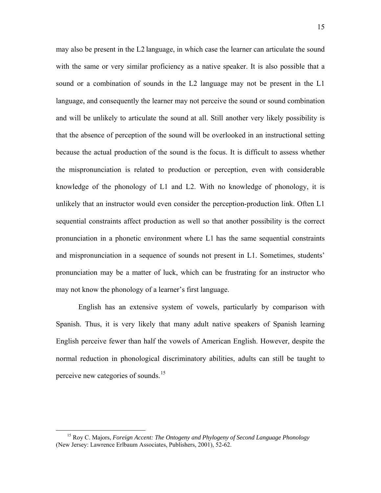may also be present in the L2 language, in which case the learner can articulate the sound with the same or very similar proficiency as a native speaker. It is also possible that a sound or a combination of sounds in the L2 language may not be present in the L1 language, and consequently the learner may not perceive the sound or sound combination and will be unlikely to articulate the sound at all. Still another very likely possibility is that the absence of perception of the sound will be overlooked in an instructional setting because the actual production of the sound is the focus. It is difficult to assess whether the mispronunciation is related to production or perception, even with considerable knowledge of the phonology of L1 and L2. With no knowledge of phonology, it is unlikely that an instructor would even consider the perception-production link. Often L1 sequential constraints affect production as well so that another possibility is the correct pronunciation in a phonetic environment where L1 has the same sequential constraints and mispronunciation in a sequence of sounds not present in L1. Sometimes, students' pronunciation may be a matter of luck, which can be frustrating for an instructor who may not know the phonology of a learner's first language.

English has an extensive system of vowels, particularly by comparison with Spanish. Thus, it is very likely that many adult native speakers of Spanish learning English perceive fewer than half the vowels of American English. However, despite the normal reduction in phonological discriminatory abilities, adults can still be taught to perceive new categories of sounds.<sup>[15](#page-14-0)</sup>

<span id="page-14-0"></span> <sup>15</sup> Roy C. Majors, *Foreign Accent: The Ontogeny and Phylogeny of Second Language Phonology* (New Jersey: Lawrence Erlbaum Associates, Publishers, 2001), 52-62.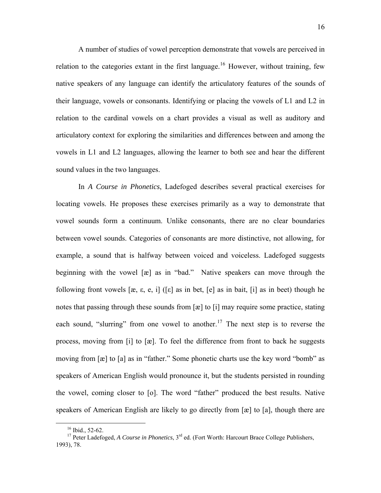A number of studies of vowel perception demonstrate that vowels are perceived in relation to the categories extant in the first language.<sup>[16](#page-15-0)</sup> However, without training, few native speakers of any language can identify the articulatory features of the sounds of their language, vowels or consonants. Identifying or placing the vowels of L1 and L2 in relation to the cardinal vowels on a chart provides a visual as well as auditory and articulatory context for exploring the similarities and differences between and among the vowels in L1 and L2 languages, allowing the learner to both see and hear the different sound values in the two languages.

 In *A Course in Phonetics*, Ladefoged describes several practical exercises for locating vowels. He proposes these exercises primarily as a way to demonstrate that vowel sounds form a continuum. Unlike consonants, there are no clear boundaries between vowel sounds. Categories of consonants are more distinctive, not allowing, for example, a sound that is halfway between voiced and voiceless. Ladefoged suggests beginning with the vowel [æ] as in "bad." Native speakers can move through the following front vowels  $[\alpha, \varepsilon, \varepsilon, i]$  ( $[\varepsilon]$  as in bet,  $[\varepsilon]$  as in bait,  $[i]$  as in beet) though he notes that passing through these sounds from [æ] to [i] may require some practice, stating each sound, "slurring" from one vowel to another.<sup>[17](#page-15-1)</sup> The next step is to reverse the process, moving from [i] to [æ]. To feel the difference from front to back he suggests moving from [æ] to [a] as in "father." Some phonetic charts use the key word "bomb" as speakers of American English would pronounce it, but the students persisted in rounding the vowel, coming closer to [o]. The word "father" produced the best results. Native speakers of American English are likely to go directly from [æ] to [a], though there are

<sup>&</sup>lt;sup>16</sup> Ibid., 52-62.

<span id="page-15-1"></span><span id="page-15-0"></span><sup>&</sup>lt;sup>17</sup> Peter Ladefoged, *A Course in Phonetics*, 3<sup>rd</sup> ed. (Fort Worth: Harcourt Brace College Publishers, 1993), 78.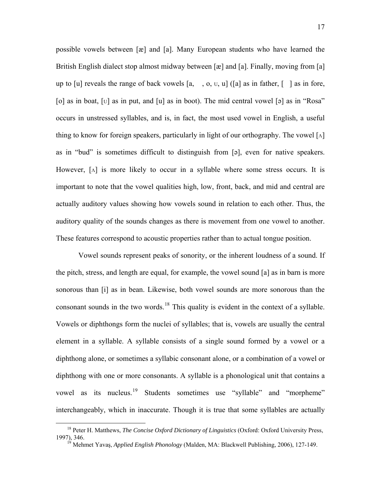possible vowels between [æ] and [a]. Many European students who have learned the British English dialect stop almost midway between [æ] and [a]. Finally, moving from [a] up to [u] reveals the range of back vowels  $[a, , o, v, u]$  ([a] as in father,  $\lceil \cdot \rceil$  as in fore, [o] as in boat, [U] as in put, and [u] as in boot). The mid central vowel [ə] as in "Rosa" occurs in unstressed syllables, and is, in fact, the most used vowel in English, a useful thing to know for foreign speakers, particularly in light of our orthography. The vowel  $\lceil \Lambda \rceil$ as in "bud" is sometimes difficult to distinguish from [ə], even for native speakers. However, [Λ] is more likely to occur in a syllable where some stress occurs. It is important to note that the vowel qualities high, low, front, back, and mid and central are actually auditory values showing how vowels sound in relation to each other. Thus, the auditory quality of the sounds changes as there is movement from one vowel to another. These features correspond to acoustic properties rather than to actual tongue position.

 Vowel sounds represent peaks of sonority, or the inherent loudness of a sound. If the pitch, stress, and length are equal, for example, the vowel sound [a] as in barn is more sonorous than [i] as in bean. Likewise, both vowel sounds are more sonorous than the consonant sounds in the two words.<sup>[18](#page-16-0)</sup> This quality is evident in the context of a syllable. Vowels or diphthongs form the nuclei of syllables; that is, vowels are usually the central element in a syllable. A syllable consists of a single sound formed by a vowel or a diphthong alone, or sometimes a syllabic consonant alone, or a combination of a vowel or diphthong with one or more consonants. A syllable is a phonological unit that contains a vowel as its nucleus.<sup>[19](#page-16-1)</sup> Students sometimes use "syllable" and "morpheme" interchangeably, which in inaccurate. Though it is true that some syllables are actually

<span id="page-16-1"></span><span id="page-16-0"></span><sup>&</sup>lt;sup>18</sup> Peter H. Matthews, *The Concise Oxford Dictionary of Linguistics* (Oxford: Oxford University Press, 1997), 346.<br><sup>19</sup> Mehmet Yayas, Applied English Phanalagy (Malden, MA: Blackwell Publishing, 2006), 127, 140.

<sup>1997), 346. 19</sup> Mehmet Yavaş, *Applied English Phonology* (Malden, MA: Blackwell Publishing, 2006), 127-149.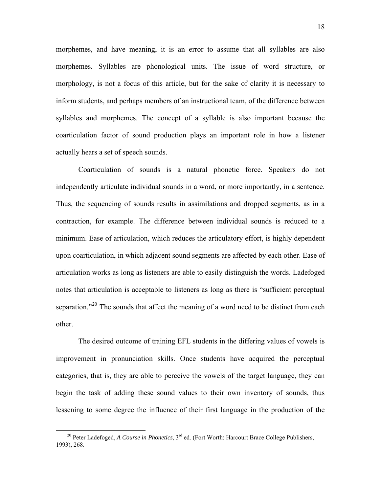morphemes, and have meaning, it is an error to assume that all syllables are also morphemes. Syllables are phonological units. The issue of word structure, or morphology, is not a focus of this article, but for the sake of clarity it is necessary to inform students, and perhaps members of an instructional team, of the difference between syllables and morphemes. The concept of a syllable is also important because the coarticulation factor of sound production plays an important role in how a listener actually hears a set of speech sounds.

 Coarticulation of sounds is a natural phonetic force. Speakers do not independently articulate individual sounds in a word, or more importantly, in a sentence. Thus, the sequencing of sounds results in assimilations and dropped segments, as in a contraction, for example. The difference between individual sounds is reduced to a minimum. Ease of articulation, which reduces the articulatory effort, is highly dependent upon coarticulation, in which adjacent sound segments are affected by each other. Ease of articulation works as long as listeners are able to easily distinguish the words. Ladefoged notes that articulation is acceptable to listeners as long as there is "sufficient perceptual separation."<sup>[20](#page-17-0)</sup> The sounds that affect the meaning of a word need to be distinct from each other.

 The desired outcome of training EFL students in the differing values of vowels is improvement in pronunciation skills. Once students have acquired the perceptual categories, that is, they are able to perceive the vowels of the target language, they can begin the task of adding these sound values to their own inventory of sounds, thus lessening to some degree the influence of their first language in the production of the

<span id="page-17-0"></span><sup>&</sup>lt;sup>20</sup> Peter Ladefoged, *A Course in Phonetics*, 3<sup>rd</sup> ed. (Fort Worth: Harcourt Brace College Publishers, 1993), 268.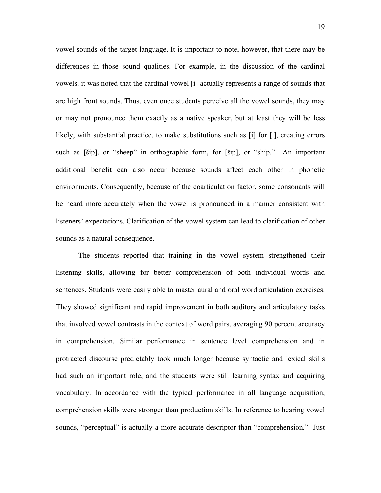vowel sounds of the target language. It is important to note, however, that there may be differences in those sound qualities. For example, in the discussion of the cardinal vowels, it was noted that the cardinal vowel [i] actually represents a range of sounds that are high front sounds. Thus, even once students perceive all the vowel sounds, they may or may not pronounce them exactly as a native speaker, but at least they will be less likely, with substantial practice, to make substitutions such as [i] for [I], creating errors such as [šip], or "sheep" in orthographic form, for [šip], or "ship." An important additional benefit can also occur because sounds affect each other in phonetic environments. Consequently, because of the coarticulation factor, some consonants will be heard more accurately when the vowel is pronounced in a manner consistent with listeners' expectations. Clarification of the vowel system can lead to clarification of other sounds as a natural consequence.

 The students reported that training in the vowel system strengthened their listening skills, allowing for better comprehension of both individual words and sentences. Students were easily able to master aural and oral word articulation exercises. They showed significant and rapid improvement in both auditory and articulatory tasks that involved vowel contrasts in the context of word pairs, averaging 90 percent accuracy in comprehension. Similar performance in sentence level comprehension and in protracted discourse predictably took much longer because syntactic and lexical skills had such an important role, and the students were still learning syntax and acquiring vocabulary. In accordance with the typical performance in all language acquisition, comprehension skills were stronger than production skills. In reference to hearing vowel sounds, "perceptual" is actually a more accurate descriptor than "comprehension." Just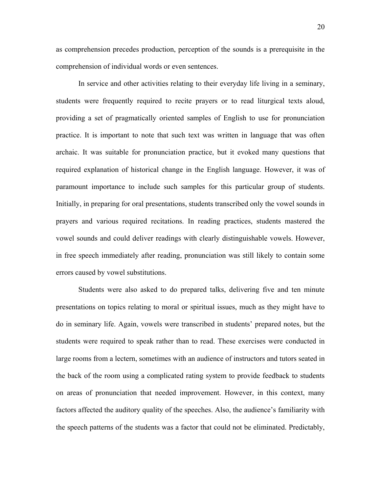as comprehension precedes production, perception of the sounds is a prerequisite in the comprehension of individual words or even sentences.

In service and other activities relating to their everyday life living in a seminary, students were frequently required to recite prayers or to read liturgical texts aloud, providing a set of pragmatically oriented samples of English to use for pronunciation practice. It is important to note that such text was written in language that was often archaic. It was suitable for pronunciation practice, but it evoked many questions that required explanation of historical change in the English language. However, it was of paramount importance to include such samples for this particular group of students. Initially, in preparing for oral presentations, students transcribed only the vowel sounds in prayers and various required recitations. In reading practices, students mastered the vowel sounds and could deliver readings with clearly distinguishable vowels. However, in free speech immediately after reading, pronunciation was still likely to contain some errors caused by vowel substitutions.

 Students were also asked to do prepared talks, delivering five and ten minute presentations on topics relating to moral or spiritual issues, much as they might have to do in seminary life. Again, vowels were transcribed in students' prepared notes, but the students were required to speak rather than to read. These exercises were conducted in large rooms from a lectern, sometimes with an audience of instructors and tutors seated in the back of the room using a complicated rating system to provide feedback to students on areas of pronunciation that needed improvement. However, in this context, many factors affected the auditory quality of the speeches. Also, the audience's familiarity with the speech patterns of the students was a factor that could not be eliminated. Predictably,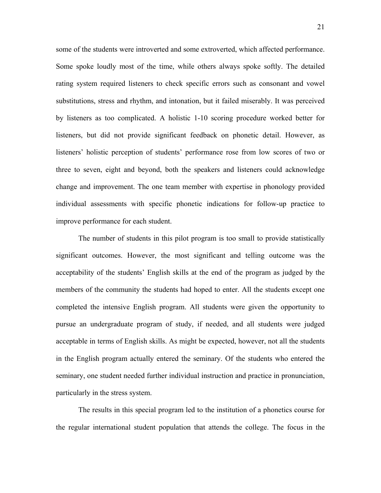some of the students were introverted and some extroverted, which affected performance. Some spoke loudly most of the time, while others always spoke softly. The detailed rating system required listeners to check specific errors such as consonant and vowel substitutions, stress and rhythm, and intonation, but it failed miserably. It was perceived by listeners as too complicated. A holistic 1-10 scoring procedure worked better for listeners, but did not provide significant feedback on phonetic detail. However, as listeners' holistic perception of students' performance rose from low scores of two or three to seven, eight and beyond, both the speakers and listeners could acknowledge change and improvement. The one team member with expertise in phonology provided individual assessments with specific phonetic indications for follow-up practice to improve performance for each student.

 The number of students in this pilot program is too small to provide statistically significant outcomes. However, the most significant and telling outcome was the acceptability of the students' English skills at the end of the program as judged by the members of the community the students had hoped to enter. All the students except one completed the intensive English program. All students were given the opportunity to pursue an undergraduate program of study, if needed, and all students were judged acceptable in terms of English skills. As might be expected, however, not all the students in the English program actually entered the seminary. Of the students who entered the seminary, one student needed further individual instruction and practice in pronunciation, particularly in the stress system.

 The results in this special program led to the institution of a phonetics course for the regular international student population that attends the college. The focus in the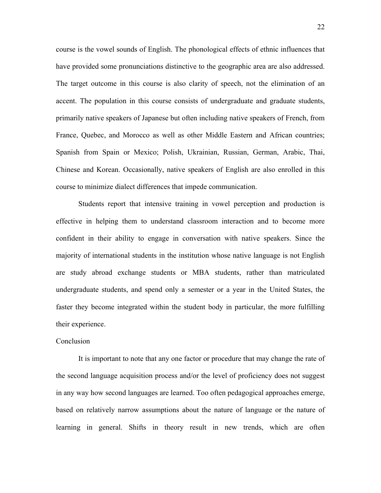course is the vowel sounds of English. The phonological effects of ethnic influences that have provided some pronunciations distinctive to the geographic area are also addressed. The target outcome in this course is also clarity of speech, not the elimination of an accent. The population in this course consists of undergraduate and graduate students, primarily native speakers of Japanese but often including native speakers of French, from France, Quebec, and Morocco as well as other Middle Eastern and African countries; Spanish from Spain or Mexico; Polish, Ukrainian, Russian, German, Arabic, Thai, Chinese and Korean. Occasionally, native speakers of English are also enrolled in this course to minimize dialect differences that impede communication.

 Students report that intensive training in vowel perception and production is effective in helping them to understand classroom interaction and to become more confident in their ability to engage in conversation with native speakers. Since the majority of international students in the institution whose native language is not English are study abroad exchange students or MBA students, rather than matriculated undergraduate students, and spend only a semester or a year in the United States, the faster they become integrated within the student body in particular, the more fulfilling their experience.

## **Conclusion**

 It is important to note that any one factor or procedure that may change the rate of the second language acquisition process and/or the level of proficiency does not suggest in any way how second languages are learned. Too often pedagogical approaches emerge, based on relatively narrow assumptions about the nature of language or the nature of learning in general. Shifts in theory result in new trends, which are often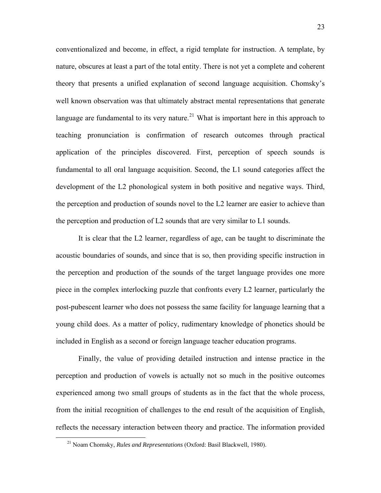conventionalized and become, in effect, a rigid template for instruction. A template, by nature, obscures at least a part of the total entity. There is not yet a complete and coherent theory that presents a unified explanation of second language acquisition. Chomsky's well known observation was that ultimately abstract mental representations that generate language are fundamental to its very nature.<sup>[21](#page-22-0)</sup> What is important here in this approach to teaching pronunciation is confirmation of research outcomes through practical application of the principles discovered. First, perception of speech sounds is fundamental to all oral language acquisition. Second, the L1 sound categories affect the development of the L2 phonological system in both positive and negative ways. Third, the perception and production of sounds novel to the L2 learner are easier to achieve than the perception and production of L2 sounds that are very similar to L1 sounds.

 It is clear that the L2 learner, regardless of age, can be taught to discriminate the acoustic boundaries of sounds, and since that is so, then providing specific instruction in the perception and production of the sounds of the target language provides one more piece in the complex interlocking puzzle that confronts every L2 learner, particularly the post-pubescent learner who does not possess the same facility for language learning that a young child does. As a matter of policy, rudimentary knowledge of phonetics should be included in English as a second or foreign language teacher education programs.

 Finally, the value of providing detailed instruction and intense practice in the perception and production of vowels is actually not so much in the positive outcomes experienced among two small groups of students as in the fact that the whole process, from the initial recognition of challenges to the end result of the acquisition of English, reflects the necessary interaction between theory and practice. The information provided

<span id="page-22-0"></span> <sup>21</sup> Noam Chomsky, *Rules and Representations* (Oxford: Basil Blackwell, 1980).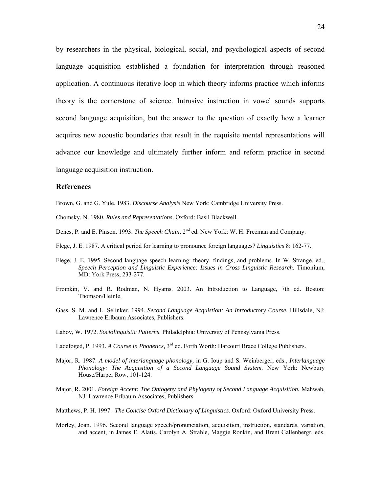by researchers in the physical, biological, social, and psychological aspects of second language acquisition established a foundation for interpretation through reasoned application. A continuous iterative loop in which theory informs practice which informs theory is the cornerstone of science. Intrusive instruction in vowel sounds supports second language acquisition, but the answer to the question of exactly how a learner acquires new acoustic boundaries that result in the requisite mental representations will advance our knowledge and ultimately further inform and reform practice in second language acquisition instruction.

## **References**

Brown, G. and G. Yule. 1983. *Discourse Analysis* New York: Cambridge University Press.

Chomsky, N. 1980. *Rules and Representations*. Oxford: Basil Blackwell.

- Denes, P. and E. Pinson. 1993. *The Speech Chain*, 2<sup>nd</sup> ed. New York: W. H. Freeman and Company.
- Flege, J. E. 1987. A critical period for learning to pronounce foreign languages? *Linguistics* 8: 162-77.
- Flege, J. E. 1995. Second language speech learning: theory, findings, and problems. In W. Strange, ed., *Speech Perception and Linguistic Experience: Issues in Cross Linguistic Research*. Timonium, MD: York Press, 233-277.
- Fromkin, V. and R. Rodman, N. Hyams. 2003. An Introduction to Language, 7th ed. Boston: Thomson/Heinle.
- Gass, S. M. and L. Selinker. 1994. *Second Language Acquistion: An Introductory Course.* Hillsdale, NJ: Lawrence Erlbaum Associates, Publishers.
- Labov, W. 1972. *Sociolinguistic Patterns*. Philadelphia: University of Pennsylvania Press.
- Ladefoged, P. 1993. *A Course in Phonetics*, 3<sup>rd</sup> ed. Forth Worth: Harcourt Brace College Publishers.
- Major, R. 1987. *A model of interlanguage phonology,* in G. Ioup and S. Weinberger, eds., *Interlanguage Phonology: The Acquisition of a Second Language Sound System.* New York: Newbury House/Harper Row, 101-124.
- Major, R. 2001. *Foreign Accent: The Ontogeny and Phylogeny of Second Language Acquisition.* Mahwah, NJ: Lawrence Erlbaum Associates, Publishers.
- Matthews, P. H. 1997. *The Concise Oxford Dictionary of Linguistics.* Oxford: Oxford University Press.
- Morley, Joan. 1996. Second language speech/pronunciation, acquisition, instruction, standards, variation, and accent, in James E. Alatis, Carolyn A. Strahle, Maggie Ronkin, and Brent Gallenbergr, eds.